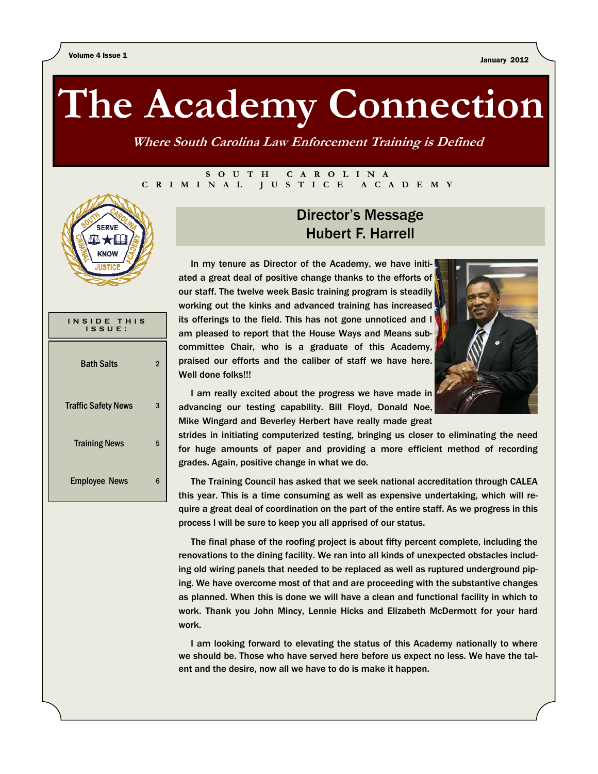# **The Academy Connection**

**Where South Carolina Law Enforcement Training is Defined** 

#### **SOUTH CAROLINA CRIMINAL JUSTICE ACADEMY**



| INSIDE THIS<br>ISSUE:      |   |
|----------------------------|---|
| <b>Bath Salts</b>          | 2 |
| <b>Traffic Safety News</b> | 3 |
| <b>Training News</b>       | 5 |
| <b>Employee News</b>       | հ |

#### Director's Message Hubert F. Harrell

 In my tenure as Director of the Academy, we have initiated a great deal of positive change thanks to the efforts of our staff. The twelve week Basic training program is steadily working out the kinks and advanced training has increased its offerings to the field. This has not gone unnoticed and I am pleased to report that the House Ways and Means subcommittee Chair, who is a graduate of this Academy, praised our efforts and the caliber of staff we have here. Well done folks!!!



 I am really excited about the progress we have made in advancing our testing capability. Bill Floyd, Donald Noe, Mike Wingard and Beverley Herbert have really made great

strides in initiating computerized testing, bringing us closer to eliminating the need for huge amounts of paper and providing a more efficient method of recording grades. Again, positive change in what we do.

 The Training Council has asked that we seek national accreditation through CALEA this year. This is a time consuming as well as expensive undertaking, which will require a great deal of coordination on the part of the entire staff. As we progress in this process I will be sure to keep you all apprised of our status.

 The final phase of the roofing project is about fifty percent complete, including the renovations to the dining facility. We ran into all kinds of unexpected obstacles including old wiring panels that needed to be replaced as well as ruptured underground piping. We have overcome most of that and are proceeding with the substantive changes as planned. When this is done we will have a clean and functional facility in which to work. Thank you John Mincy, Lennie Hicks and Elizabeth McDermott for your hard work.

 I am looking forward to elevating the status of this Academy nationally to where we should be. Those who have served here before us expect no less. We have the talent and the desire, now all we have to do is make it happen.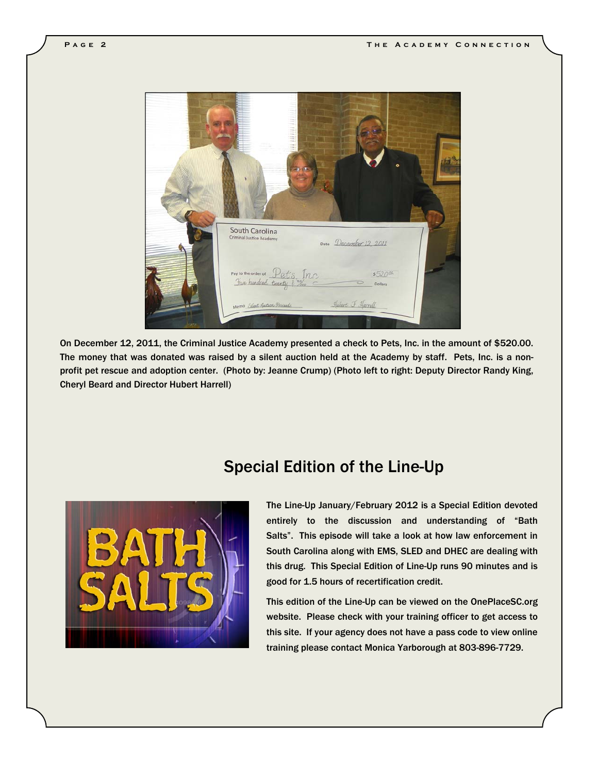

On December 12, 2011, the Criminal Justice Academy presented a check to Pets, Inc. in the amount of \$520.00. The money that was donated was raised by a silent auction held at the Academy by staff. Pets, Inc. is a nonprofit pet rescue and adoption center. (Photo by: Jeanne Crump) (Photo left to right: Deputy Director Randy King, Cheryl Beard and Director Hubert Harrell)

#### Special Edition of the Line-Up



 The Line-Up January/February 2012 is a Special Edition devoted entirely to the discussion and understanding of "Bath Salts". This episode will take a look at how law enforcement in South Carolina along with EMS, SLED and DHEC are dealing with this drug. This Special Edition of Line-Up runs 90 minutes and is good for 1.5 hours of recertification credit.

 This edition of the Line-Up can be viewed on the OnePlaceSC.org website. Please check with your training officer to get access to this site. If your agency does not have a pass code to view online training please contact Monica Yarborough at 803-896-7729.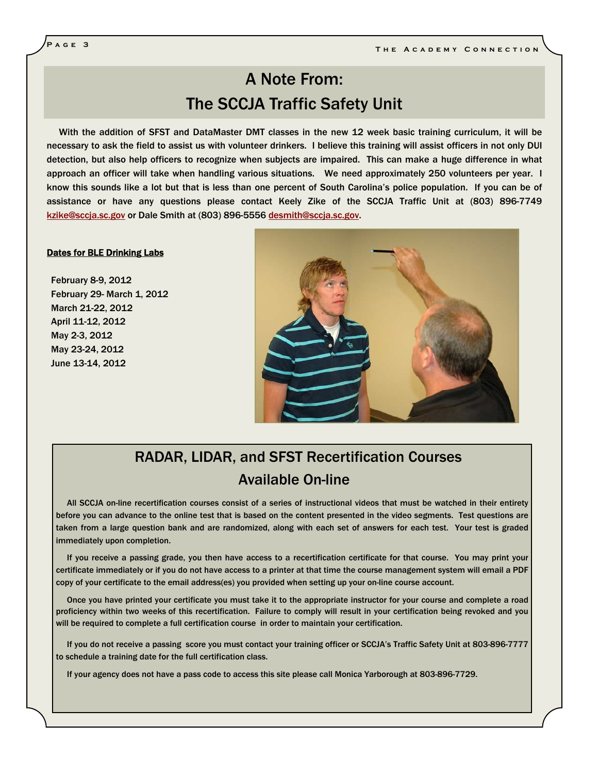## A Note From: The SCCJA Traffic Safety Unit

 With the addition of SFST and DataMaster DMT classes in the new 12 week basic training curriculum, it will be necessary to ask the field to assist us with volunteer drinkers. I believe this training will assist officers in not only DUI detection, but also help officers to recognize when subjects are impaired. This can make a huge difference in what approach an officer will take when handling various situations. We need approximately 250 volunteers per year. I know this sounds like a lot but that is less than one percent of South Carolina's police population. If you can be of assistance or have any questions please contact Keely Zike of the SCCJA Traffic Unit at (803) 896-7749 kzike@sccja.sc.gov or Dale Smith at (803) 896-5556 desmith@sccja.sc.gov.

#### Dates for BLE Drinking Labs

February 8-9, 2012 February 29- March 1, 2012 March 21-22, 2012 April 11-12, 2012 May 2-3, 2012 May 23-24, 2012 June 13-14, 2012



## RADAR, LIDAR, and SFST Recertification Courses Available On-line

 All SCCJA on-line recertification courses consist of a series of instructional videos that must be watched in their entirety before you can advance to the online test that is based on the content presented in the video segments. Test questions are taken from a large question bank and are randomized, along with each set of answers for each test. Your test is graded immediately upon completion.

 If you receive a passing grade, you then have access to a recertification certificate for that course. You may print your certificate immediately or if you do not have access to a printer at that time the course management system will email a PDF copy of your certificate to the email address(es) you provided when setting up your on-line course account.

 Once you have printed your certificate you must take it to the appropriate instructor for your course and complete a road proficiency within two weeks of this recertification. Failure to comply will result in your certification being revoked and you will be required to complete a full certification course in order to maintain your certification.

 If you do not receive a passing score you must contact your training officer or SCCJA's Traffic Safety Unit at 803-896-7777 to schedule a training date for the full certification class.

If your agency does not have a pass code to access this site please call Monica Yarborough at 803-896-7729.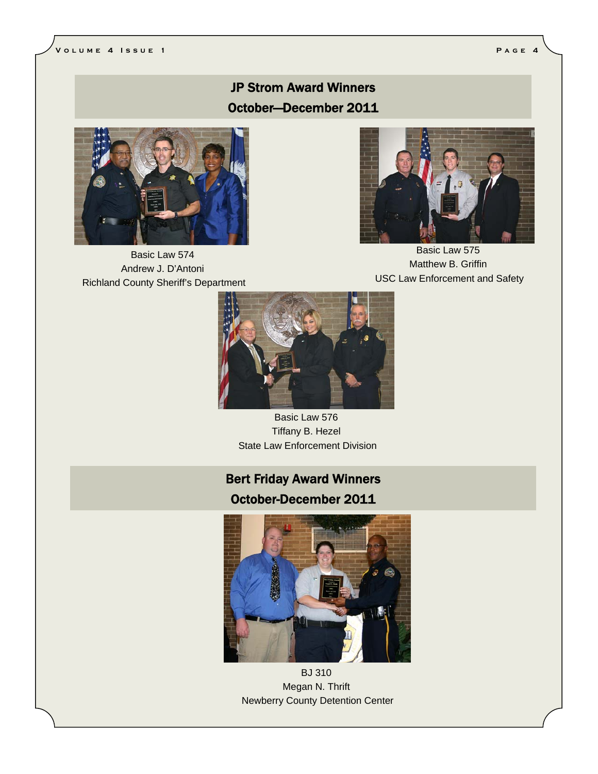#### JP Strom Award Winners October—December 2011



Basic Law 574 Andrew J. D'Antoni Richland County Sheriff's Department



Basic Law 575 Matthew B. Griffin USC Law Enforcement and Safety



Basic Law 576 Tiffany B. Hezel State Law Enforcement Division

## Bert Friday Award Winners October-December 2011



BJ 310 Megan N. Thrift Newberry County Detention Center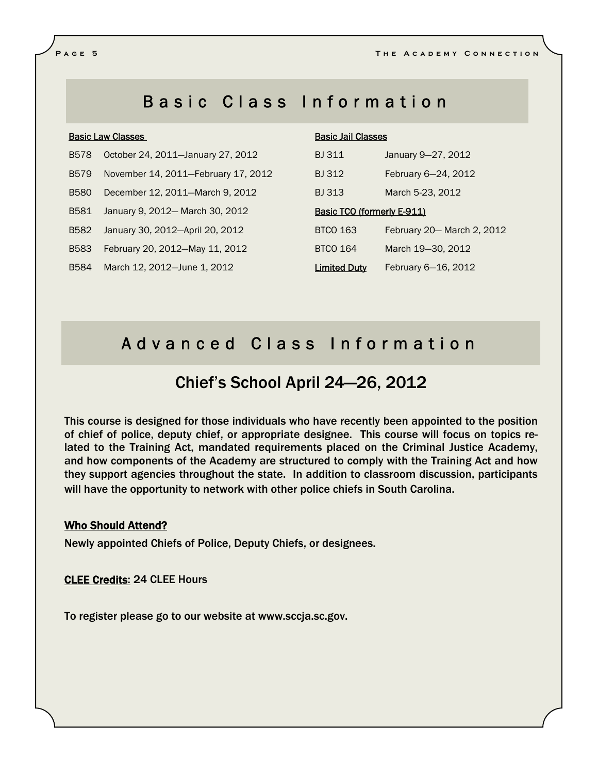## Basic Class Information

#### Basic Law Classes

- B578 October 24, 2011—January 27, 2012
- B579 November 14, 2011—February 17, 2012
- B580 December 12, 2011—March 9, 2012
- B581 January 9, 2012— March 30, 2012
- B582 January 30, 2012—April 20, 2012
- B583 February 20, 2012—May 11, 2012
- B584 March 12, 2012—June 1, 2012

#### Basic Jail Classes

| <b>BJ 311</b>                     | January 9-27, 2012         |  |
|-----------------------------------|----------------------------|--|
| <b>BJ312</b>                      | February 6-24, 2012        |  |
| <b>BJ313</b>                      | March 5-23, 2012           |  |
| <b>Basic TCO (formerly E-911)</b> |                            |  |
| <b>BTCO 163</b>                   | February 20– March 2, 2012 |  |
| <b>BTCO 164</b>                   | March 19-30, 2012          |  |
| <b>Limited Duty</b>               | February 6-16, 2012        |  |

## Advanced Class Information

## Chief's School April 24—26, 2012

This course is designed for those individuals who have recently been appointed to the position of chief of police, deputy chief, or appropriate designee. This course will focus on topics related to the Training Act, mandated requirements placed on the Criminal Justice Academy, and how components of the Academy are structured to comply with the Training Act and how they support agencies throughout the state. In addition to classroom discussion, participants will have the opportunity to network with other police chiefs in South Carolina.

#### Who Should Attend?

Newly appointed Chiefs of Police, Deputy Chiefs, or designees.

CLEE Credits: 24 CLEE Hours

To register please go to our website at www.sccja.sc.gov.